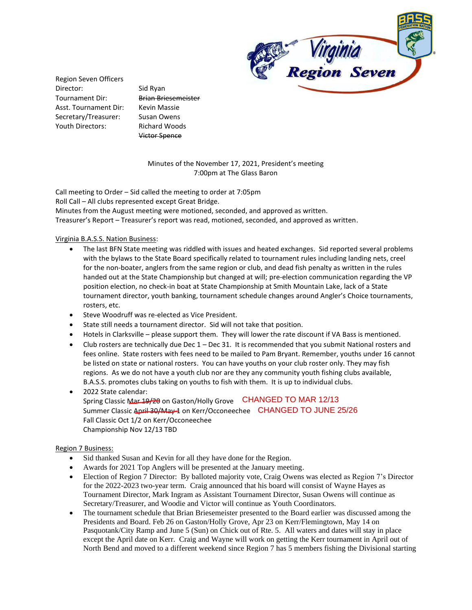

Region Seven Officers Director: Sid Ryan Tournament Dir: Brian Briesemeister Asst. Tournament Dir: Kevin Massie Secretary/Treasurer: Susan Owens Youth Directors: Richard Woods

Victor Spence

## Minutes of the November 17, 2021, President's meeting 7:00pm at The Glass Baron

Call meeting to Order – Sid called the meeting to order at 7:05pm Roll Call – All clubs represented except Great Bridge. Minutes from the August meeting were motioned, seconded, and approved as written. Treasurer's Report – Treasurer's report was read, motioned, seconded, and approved as written.

## Virginia B.A.S.S. Nation Business:

- The last BFN State meeting was riddled with issues and heated exchanges. Sid reported several problems with the bylaws to the State Board specifically related to tournament rules including landing nets, creel for the non-boater, anglers from the same region or club, and dead fish penalty as written in the rules handed out at the State Championship but changed at will; pre-election communication regarding the VP position election, no check-in boat at State Championship at Smith Mountain Lake, lack of a State tournament director, youth banking, tournament schedule changes around Angler's Choice tournaments, rosters, etc.
- Steve Woodruff was re-elected as Vice President.
- State still needs a tournament director. Sid will not take that position.
- Hotels in Clarksville please support them. They will lower the rate discount if VA Bass is mentioned.
- Club rosters are technically due Dec 1 Dec 31. It is recommended that you submit National rosters and fees online. State rosters with fees need to be mailed to Pam Bryant. Remember, youths under 16 cannot be listed on state or national rosters. You can have youths on your club roster only. They may fish regions. As we do not have a youth club nor are they any community youth fishing clubs available, B.A.S.S. promotes clubs taking on youths to fish with them. It is up to individual clubs.
- 2022 State calendar: Spring Classic Mar 19/20 on Gaston/Holly Grove CHANGED TO MAR 12/13 Summer Classic <del>April 30/May 1</del> on Kerr/Occoneechee **CHANGED TO JUNE** 25/26 Fall Classic Oct 1/2 on Kerr/Occoneechee Championship Nov 12/13 TBD

## Region 7 Business:

- Sid thanked Susan and Kevin for all they have done for the Region.
- Awards for 2021 Top Anglers will be presented at the January meeting.
- Election of Region 7 Director: By balloted majority vote, Craig Owens was elected as Region 7's Director for the 2022-2023 two-year term. Craig announced that his board will consist of Wayne Hayes as Tournament Director, Mark Ingram as Assistant Tournament Director, Susan Owens will continue as Secretary/Treasurer, and Woodie and Victor will continue as Youth Coordinators.
- The tournament schedule that Brian Briesemeister presented to the Board earlier was discussed among the Presidents and Board. Feb 26 on Gaston/Holly Grove, Apr 23 on Kerr/Flemingtown, May 14 on Pasquotank/City Ramp and June 5 (Sun) on Chick out of Rte. 5. All waters and dates will stay in place except the April date on Kerr. Craig and Wayne will work on getting the Kerr tournament in April out of North Bend and moved to a different weekend since Region 7 has 5 members fishing the Divisional starting